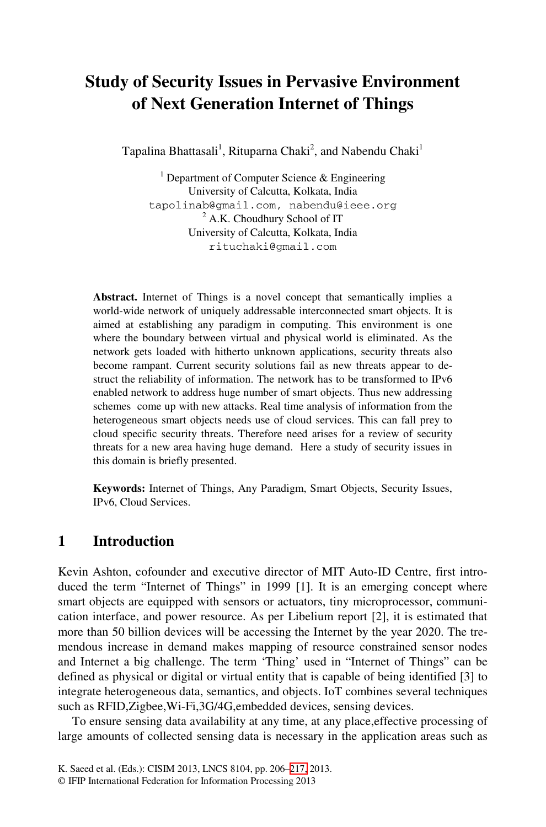# **Study of Security Issues in Pervasive Environment of Next Generation Internet of Things**

Tapalina Bhattasali<sup>1</sup>, Rituparna Chaki<sup>2</sup>, and Nabendu Chaki<sup>1</sup>

<sup>1</sup> Department of Computer Science & Engineering University of Calcutta, Kolkata, India tapolinab@gmail.com, nabendu@ieee.org <sup>2</sup> A.K. Choudhury School of IT University of Calcutta, Kolkata, India rituchaki@gmail.com

**Abstract.** Internet of Things is a novel concept that semantically implies a world-wide network of uniquely addressable interconnected smart objects. It is aimed at establishing any paradigm in computing. This environment is one where the boundary between virtual and physical world is eliminated. As the network gets loaded with hitherto unknown applications, security threats also become rampant. Current security solutions fail as new threats appear to destruct the reliability of information. The network has to be transformed to IPv6 enabled network to address huge number of smart objects. Thus new addressing schemes come up with new attacks. Real time analysis of information from the heterogeneous smart objects needs use of cloud services. This can fall prey to cloud specific security threats. Therefore need arises for a review of security threats for a new area having huge demand. Here a study of security issues in this domain is briefly presented.

**Keywords:** Internet of Things, Any Paradigm, Smart Objects, Security Issues, IPv6, Cloud Services.

### **1 Introduction**

Kevin Ashton, cofounder and executive director of MIT Auto-ID Centre, first introduced the term "Internet of Things" in 1999 [1]. It is an emerging concept where smart objects are equipped with sensors or actuators, tiny microprocessor, communication interface, and power resource. As per Libelium report [2], it is estimated that more than 50 billion devices will be accessing the Internet by the year 2020. The tremendous increase in dem[and](#page-11-0) makes mapping of resource constrained sensor nodes and Internet a big challenge. The term 'Thing' used in "Internet of Things" can be defined as physical or digital or virtual entity that is capable of being identified [3] to integrate heterogeneous data, semantics, and objects. IoT combines several techniques such as RFID,Zigbee,Wi-Fi,3G/4G,embedded devices, sensing devices.

To ensure sensing data availability at any time, at any place,effective processing of large amounts of collected sensing data is necessary in the application areas such as

© IFIP International Federation for Information Processing 2013

K. Saeed et al. (Eds.): CISIM 2013, LNCS 8104, pp. 206–217, 2013.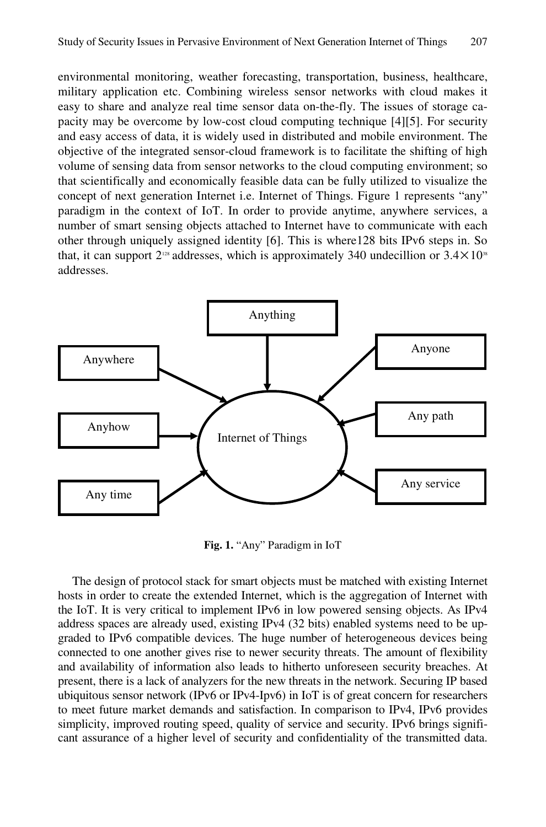environmental monitoring, weather forecasting, transportation, business, healthcare, military application etc. Combining wireless sensor networks with cloud makes it easy to share and analyze real time sensor data on-the-fly. The issues of storage capacity may be overcome by low-cost cloud computing technique [4][5]. For security and easy access of data, it is widely used in distributed and mobile environment. The objective of the integrated sensor-cloud framework is to facilitate the shifting of high volume of sensing data from sensor networks to the cloud computing environment; so that scientifically and economically feasible data can be fully utilized to visualize the concept of next generation Internet i.e. Internet of Things. Figure 1 represents "any" paradigm in the context of IoT. In order to provide anytime, anywhere services, a number of smart sensing objects attached to Internet have to communicate with each other through uniquely assigned identity [6]. This is where128 bits IPv6 steps in. So that, it can support  $2^{128}$  addresses, which is approximately 340 undecillion or  $3.4 \times 10^{38}$ addresses.



**Fig. 1.** "Any" Paradigm in IoT

The design of protocol stack for smart objects must be matched with existing Internet hosts in order to create the extended Internet, which is the aggregation of Internet with the IoT. It is very critical to implement IPv6 in low powered sensing objects. As IPv4 address spaces are already used, existing IPv4 (32 bits) enabled systems need to be upgraded to IPv6 compatible devices. The huge number of heterogeneous devices being connected to one another gives rise to newer security threats. The amount of flexibility and availability of information also leads to hitherto unforeseen security breaches. At present, there is a lack of analyzers for the new threats in the network. Securing IP based ubiquitous sensor network (IPv6 or IPv4-Ipv6) in IoT is of great concern for researchers to meet future market demands and satisfaction. In comparison to IPv4, IPv6 provides simplicity, improved routing speed, quality of service and security. IPv6 brings significant assurance of a higher level of security and confidentiality of the transmitted data.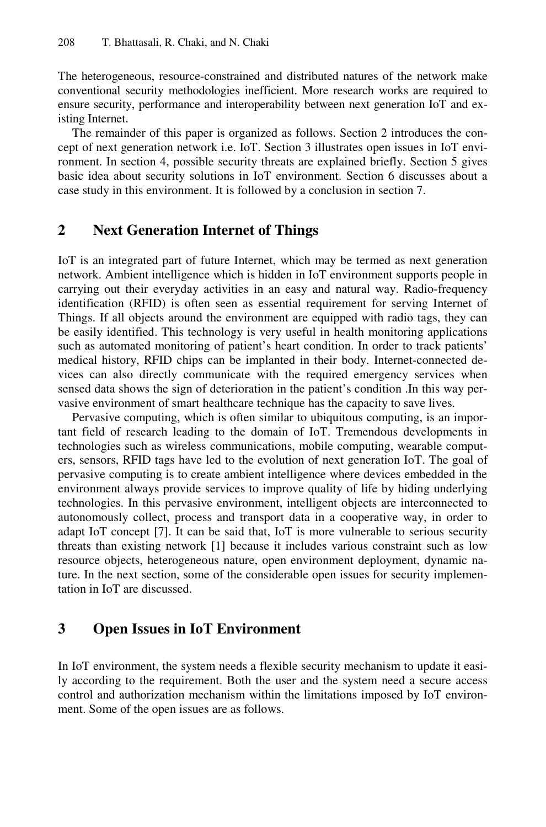The heterogeneous, resource-constrained and distributed natures of the network make conventional security methodologies inefficient. More research works are required to ensure security, performance and interoperability between next generation IoT and existing Internet.

The remainder of this paper is organized as follows. Section 2 introduces the concept of next generation network i.e. IoT. Section 3 illustrates open issues in IoT environment. In section 4, possible security threats are explained briefly. Section 5 gives basic idea about security solutions in IoT environment. Section 6 discusses about a case study in this environment. It is followed by a conclusion in section 7.

### **2 Next Generation Internet of Things**

IoT is an integrated part of future Internet, which may be termed as next generation network. Ambient intelligence which is hidden in IoT environment supports people in carrying out their everyday activities in an easy and natural way. Radio-frequency identification (RFID) is often seen as essential requirement for serving Internet of Things. If all objects around the environment are equipped with radio tags, they can be easily identified. This technology is very useful in health monitoring applications such as automated monitoring of patient's heart condition. In order to track patients' medical history, RFID chips can be implanted in their body. Internet-connected devices can also directly communicate with the required emergency services when sensed data shows the sign of deterioration in the patient's condition .In this way pervasive environment of smart healthcare technique has the capacity to save lives.

Pervasive computing, which is often similar to ubiquitous computing, is an important field of research leading to the domain of IoT. Tremendous developments in technologies such as wireless communications, mobile computing, wearable computers, sensors, RFID tags have led to the evolution of next generation IoT. The goal of pervasive computing is to create ambient intelligence where devices embedded in the environment always provide services to improve quality of life by hiding underlying technologies. In this pervasive environment, intelligent objects are interconnected to autonomously collect, process and transport data in a cooperative way, in order to adapt IoT concept [7]. It can be said that, IoT is more vulnerable to serious security threats than existing network [1] because it includes various constraint such as low resource objects, heterogeneous nature, open environment deployment, dynamic nature. In the next section, some of the considerable open issues for security implementation in IoT are discussed.

### **3 Open Issues in IoT Environment**

In IoT environment, the system needs a flexible security mechanism to update it easily according to the requirement. Both the user and the system need a secure access control and authorization mechanism within the limitations imposed by IoT environment. Some of the open issues are as follows.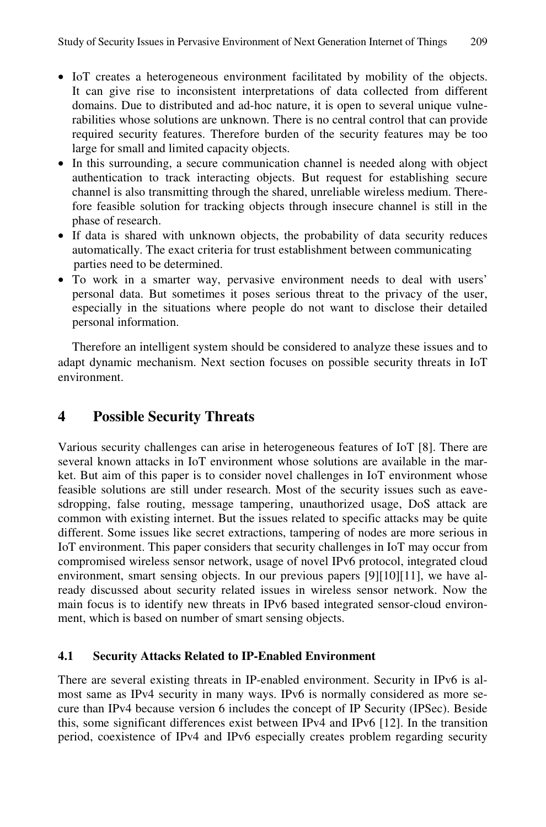- IoT creates a heterogeneous environment facilitated by mobility of the objects. It can give rise to inconsistent interpretations of data collected from different domains. Due to distributed and ad-hoc nature, it is open to several unique vulnerabilities whose solutions are unknown. There is no central control that can provide required security features. Therefore burden of the security features may be too large for small and limited capacity objects.
- In this surrounding, a secure communication channel is needed along with object authentication to track interacting objects. But request for establishing secure channel is also transmitting through the shared, unreliable wireless medium. Therefore feasible solution for tracking objects through insecure channel is still in the phase of research.
- If data is shared with unknown objects, the probability of data security reduces automatically. The exact criteria for trust establishment between communicating parties need to be determined.
- To work in a smarter way, pervasive environment needs to deal with users' personal data. But sometimes it poses serious threat to the privacy of the user, especially in the situations where people do not want to disclose their detailed personal information.

Therefore an intelligent system should be considered to analyze these issues and to adapt dynamic mechanism. Next section focuses on possible security threats in IoT environment.

## **4 Possible Security Threats**

Various security challenges can arise in heterogeneous features of IoT [8]. There are several known attacks in IoT environment whose solutions are available in the market. But aim of this paper is to consider novel challenges in IoT environment whose feasible solutions are still under research. Most of the security issues such as eavesdropping, false routing, message tampering, unauthorized usage, DoS attack are common with existing internet. But the issues related to specific attacks may be quite different. Some issues like secret extractions, tampering of nodes are more serious in IoT environment. This paper considers that security challenges in IoT may occur from compromised wireless sensor network, usage of novel IPv6 protocol, integrated cloud environment, smart sensing objects. In our previous papers [9][10][11], we have already discussed about security related issues in wireless sensor network. Now the main focus is to identify new threats in IPv6 based integrated sensor-cloud environment, which is based on number of smart sensing objects.

#### **4.1 Security Attacks Related to IP-Enabled Environment**

There are several existing threats in IP-enabled environment. Security in IPv6 is almost same as IPv4 security in many ways. IPv6 is normally considered as more secure than IPv4 because version 6 includes the concept of IP Security (IPSec). Beside this, some significant differences exist between IPv4 and IPv6 [12]. In the transition period, coexistence of IPv4 and IPv6 especially creates problem regarding security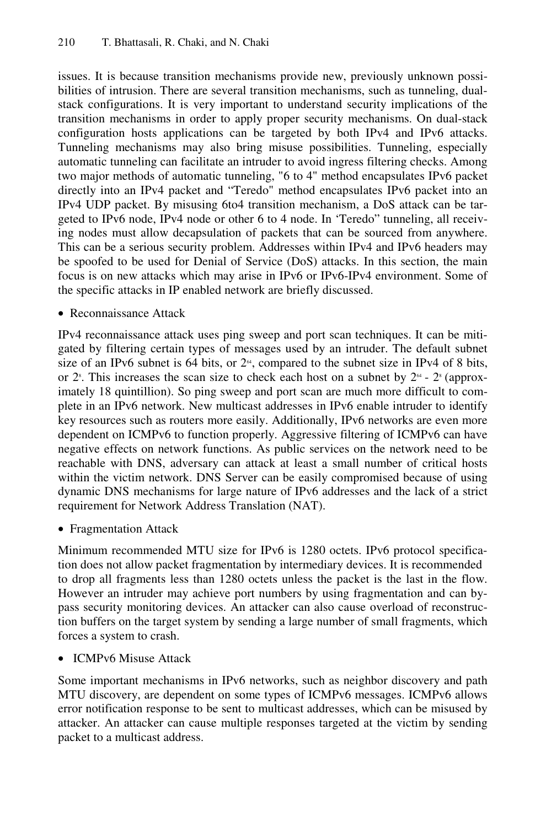issues. It is because transition mechanisms provide new, previously unknown possibilities of intrusion. There are several transition mechanisms, such as tunneling, dualstack configurations. It is very important to understand security implications of the transition mechanisms in order to apply proper security mechanisms. On dual-stack configuration hosts applications can be targeted by both IPv4 and IPv6 attacks. Tunneling mechanisms may also bring misuse possibilities. Tunneling, especially automatic tunneling can facilitate an intruder to avoid ingress filtering checks. Among two major methods of automatic tunneling, "6 to 4" method encapsulates IPv6 packet directly into an IPv4 packet and "Teredo" method encapsulates IPv6 packet into an IPv4 UDP packet. By misusing 6to4 transition mechanism, a DoS attack can be targeted to IPv6 node, IPv4 node or other 6 to 4 node. In 'Teredo" tunneling, all receiving nodes must allow decapsulation of packets that can be sourced from anywhere. This can be a serious security problem. Addresses within IPv4 and IPv6 headers may be spoofed to be used for Denial of Service (DoS) attacks. In this section, the main focus is on new attacks which may arise in IPv6 or IPv6-IPv4 environment. Some of the specific attacks in IP enabled network are briefly discussed.

• Reconnaissance Attack

IPv4 reconnaissance attack uses ping sweep and port scan techniques. It can be mitigated by filtering certain types of messages used by an intruder. The default subnet size of an IPv6 subnet is 64 bits, or  $2<sup>64</sup>$ , compared to the subnet size in IPv4 of 8 bits, or  $2^s$ . This increases the scan size to check each host on a subnet by  $2^{s}$  -  $2^s$  (approximately 18 quintillion). So ping sweep and port scan are much more difficult to complete in an IPv6 network. New multicast addresses in IPv6 enable intruder to identify key resources such as routers more easily. Additionally, IPv6 networks are even more dependent on ICMPv6 to function properly. Aggressive filtering of ICMPv6 can have negative effects on network functions. As public services on the network need to be reachable with DNS, adversary can attack at least a small number of critical hosts within the victim network. DNS Server can be easily compromised because of using dynamic DNS mechanisms for large nature of IPv6 addresses and the lack of a strict requirement for Network Address Translation (NAT).

• Fragmentation Attack

Minimum recommended MTU size for IPv6 is 1280 octets. IPv6 protocol specification does not allow packet fragmentation by intermediary devices. It is recommended to drop all fragments less than 1280 octets unless the packet is the last in the flow. However an intruder may achieve port numbers by using fragmentation and can bypass security monitoring devices. An attacker can also cause overload of reconstruction buffers on the target system by sending a large number of small fragments, which forces a system to crash.

• **ICMPv6 Misuse Attack** 

Some important mechanisms in IPv6 networks, such as neighbor discovery and path MTU discovery, are dependent on some types of ICMPv6 messages. ICMPv6 allows error notification response to be sent to multicast addresses, which can be misused by attacker. An attacker can cause multiple responses targeted at the victim by sending packet to a multicast address.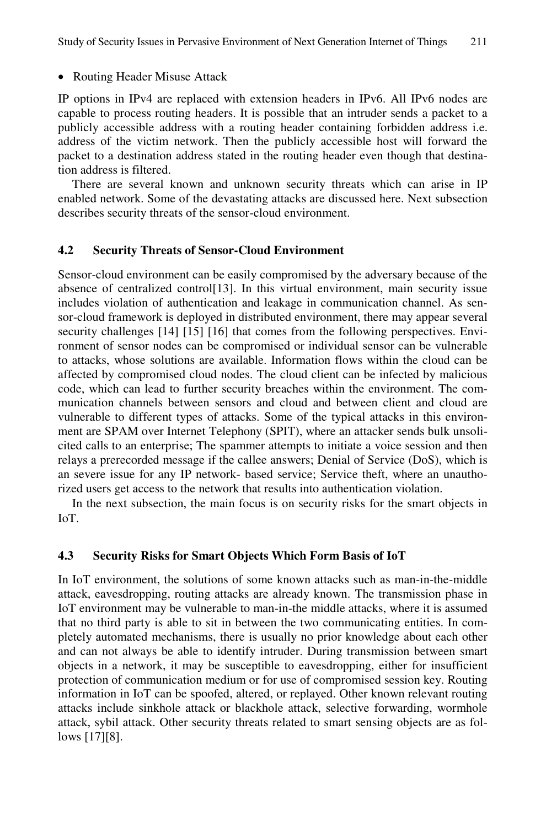• Routing Header Misuse Attack

IP options in IPv4 are replaced with extension headers in IPv6. All IPv6 nodes are capable to process routing headers. It is possible that an intruder sends a packet to a publicly accessible address with a routing header containing forbidden address i.e. address of the victim network. Then the publicly accessible host will forward the packet to a destination address stated in the routing header even though that destination address is filtered.

There are several known and unknown security threats which can arise in IP enabled network. Some of the devastating attacks are discussed here. Next subsection describes security threats of the sensor-cloud environment.

#### **4.2 Security Threats of Sensor-Cloud Environment**

Sensor-cloud environment can be easily compromised by the adversary because of the absence of centralized control[13]. In this virtual environment, main security issue includes violation of authentication and leakage in communication channel. As sensor-cloud framework is deployed in distributed environment, there may appear several security challenges [14] [15] [16] that comes from the following perspectives. Environment of sensor nodes can be compromised or individual sensor can be vulnerable to attacks, whose solutions are available. Information flows within the cloud can be affected by compromised cloud nodes. The cloud client can be infected by malicious code, which can lead to further security breaches within the environment. The communication channels between sensors and cloud and between client and cloud are vulnerable to different types of attacks. Some of the typical attacks in this environment are SPAM over Internet Telephony (SPIT), where an attacker sends bulk unsolicited calls to an enterprise; The spammer attempts to initiate a voice session and then relays a prerecorded message if the callee answers; Denial of Service (DoS), which is an severe issue for any IP network- based service; Service theft, where an unauthorized users get access to the network that results into authentication violation.

In the next subsection, the main focus is on security risks for the smart objects in IoT.

#### **4.3 Security Risks for Smart Objects Which Form Basis of IoT**

In IoT environment, the solutions of some known attacks such as man-in-the-middle attack, eavesdropping, routing attacks are already known. The transmission phase in IoT environment may be vulnerable to man-in-the middle attacks, where it is assumed that no third party is able to sit in between the two communicating entities. In completely automated mechanisms, there is usually no prior knowledge about each other and can not always be able to identify intruder. During transmission between smart objects in a network, it may be susceptible to eavesdropping, either for insufficient protection of communication medium or for use of compromised session key. Routing information in IoT can be spoofed, altered, or replayed. Other known relevant routing attacks include sinkhole attack or blackhole attack, selective forwarding, wormhole attack, sybil attack. Other security threats related to smart sensing objects are as follows [17][8].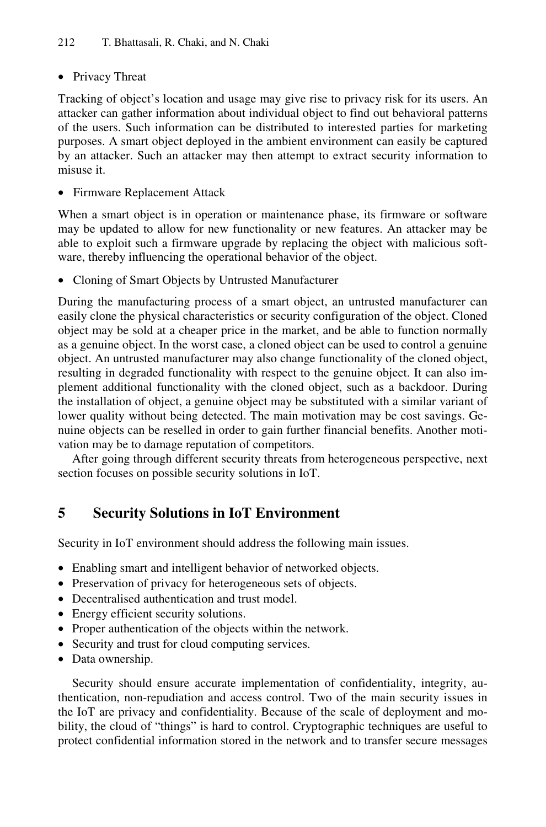#### • Privacy Threat

Tracking of object's location and usage may give rise to privacy risk for its users. An attacker can gather information about individual object to find out behavioral patterns of the users. Such information can be distributed to interested parties for marketing purposes. A smart object deployed in the ambient environment can easily be captured by an attacker. Such an attacker may then attempt to extract security information to misuse it.

• Firmware Replacement Attack

When a smart object is in operation or maintenance phase, its firmware or software may be updated to allow for new functionality or new features. An attacker may be able to exploit such a firmware upgrade by replacing the object with malicious software, thereby influencing the operational behavior of the object.

• Cloning of Smart Objects by Untrusted Manufacturer

During the manufacturing process of a smart object, an untrusted manufacturer can easily clone the physical characteristics or security configuration of the object. Cloned object may be sold at a cheaper price in the market, and be able to function normally as a genuine object. In the worst case, a cloned object can be used to control a genuine object. An untrusted manufacturer may also change functionality of the cloned object, resulting in degraded functionality with respect to the genuine object. It can also implement additional functionality with the cloned object, such as a backdoor. During the installation of object, a genuine object may be substituted with a similar variant of lower quality without being detected. The main motivation may be cost savings. Genuine objects can be reselled in order to gain further financial benefits. Another motivation may be to damage reputation of competitors.

After going through different security threats from heterogeneous perspective, next section focuses on possible security solutions in IoT.

## **5 Security Solutions in IoT Environment**

Security in IoT environment should address the following main issues.

- Enabling smart and intelligent behavior of networked objects.
- Preservation of privacy for heterogeneous sets of objects.
- Decentralised authentication and trust model.
- Energy efficient security solutions.
- Proper authentication of the objects within the network.
- Security and trust for cloud computing services.
- Data ownership.

Security should ensure accurate implementation of confidentiality, integrity, authentication, non-repudiation and access control. Two of the main security issues in the IoT are privacy and confidentiality. Because of the scale of deployment and mobility, the cloud of "things" is hard to control. Cryptographic techniques are useful to protect confidential information stored in the network and to transfer secure messages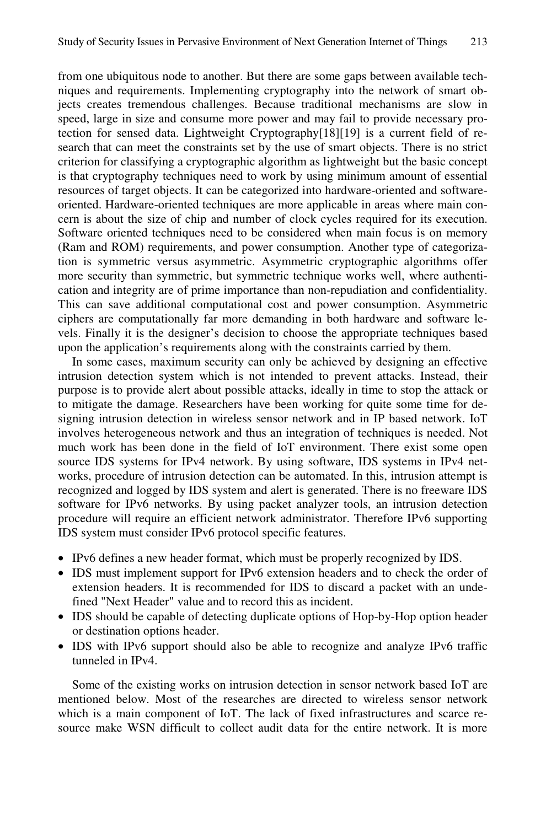from one ubiquitous node to another. But there are some gaps between available techniques and requirements. Implementing cryptography into the network of smart objects creates tremendous challenges. Because traditional mechanisms are slow in speed, large in size and consume more power and may fail to provide necessary protection for sensed data. Lightweight Cryptography[18][19] is a current field of research that can meet the constraints set by the use of smart objects. There is no strict criterion for classifying a cryptographic algorithm as lightweight but the basic concept is that cryptography techniques need to work by using minimum amount of essential resources of target objects. It can be categorized into hardware-oriented and softwareoriented. Hardware-oriented techniques are more applicable in areas where main concern is about the size of chip and number of clock cycles required for its execution. Software oriented techniques need to be considered when main focus is on memory (Ram and ROM) requirements, and power consumption. Another type of categorization is symmetric versus asymmetric. Asymmetric cryptographic algorithms offer more security than symmetric, but symmetric technique works well, where authentication and integrity are of prime importance than non-repudiation and confidentiality. This can save additional computational cost and power consumption. Asymmetric ciphers are computationally far more demanding in both hardware and software levels. Finally it is the designer's decision to choose the appropriate techniques based upon the application's requirements along with the constraints carried by them.

In some cases, maximum security can only be achieved by designing an effective intrusion detection system which is not intended to prevent attacks. Instead, their purpose is to provide alert about possible attacks, ideally in time to stop the attack or to mitigate the damage. Researchers have been working for quite some time for designing intrusion detection in wireless sensor network and in IP based network. IoT involves heterogeneous network and thus an integration of techniques is needed. Not much work has been done in the field of IoT environment. There exist some open source IDS systems for IPv4 network. By using software, IDS systems in IPv4 networks, procedure of intrusion detection can be automated. In this, intrusion attempt is recognized and logged by IDS system and alert is generated. There is no freeware IDS software for IPv6 networks. By using packet analyzer tools, an intrusion detection procedure will require an efficient network administrator. Therefore IPv6 supporting IDS system must consider IPv6 protocol specific features.

- IPv6 defines a new header format, which must be properly recognized by IDS.
- IDS must implement support for IPv6 extension headers and to check the order of extension headers. It is recommended for IDS to discard a packet with an undefined "Next Header" value and to record this as incident.
- IDS should be capable of detecting duplicate options of Hop-by-Hop option header or destination options header.
- IDS with IPv6 support should also be able to recognize and analyze IPv6 traffic tunneled in IPv4.

Some of the existing works on intrusion detection in sensor network based IoT are mentioned below. Most of the researches are directed to wireless sensor network which is a main component of IoT. The lack of fixed infrastructures and scarce resource make WSN difficult to collect audit data for the entire network. It is more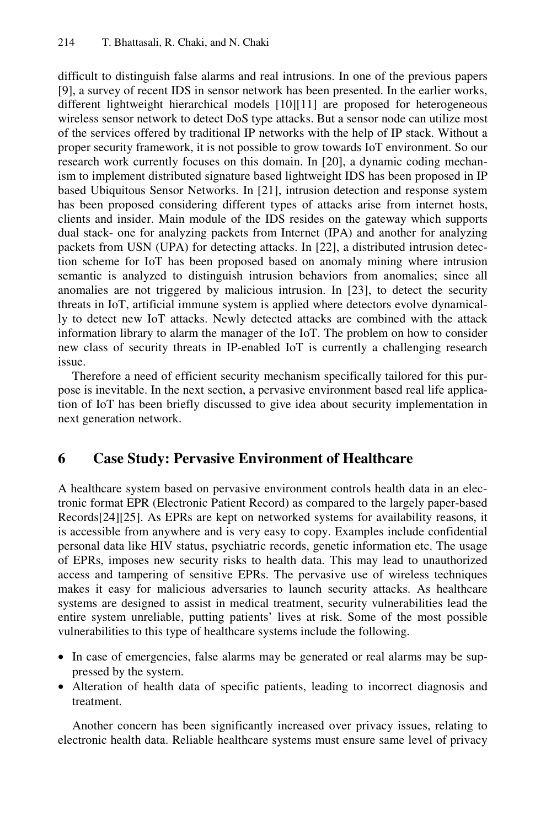difficult to distinguish false alarms and real intrusions. In one of the previous papers [9], a survey of recent IDS in sensor network has been presented. In the earlier works, different lightweight hierarchical models [10][11] are proposed for heterogeneous wireless sensor network to detect DoS type attacks. But a sensor node can utilize most of the services offered by traditional IP networks with the help of IP stack. Without a proper security framework, it is not possible to grow towards IoT environment. So our research work currently focuses on this domain. In [20], a dynamic coding mechanism to implement distributed signature based lightweight IDS has been proposed in IP based Ubiquitous Sensor Networks. In [21], intrusion detection and response system has been proposed considering different types of attacks arise from internet hosts, clients and insider. Main module of the IDS resides on the gateway which supports dual stack- one for analyzing packets from Internet (IPA) and another for analyzing packets from USN (UPA) for detecting attacks. In [22], a distributed intrusion detection scheme for IoT has been proposed based on anomaly mining where intrusion semantic is analyzed to distinguish intrusion behaviors from anomalies; since all anomalies are not triggered by malicious intrusion. In [23], to detect the security threats in IoT, artificial immune system is applied where detectors evolve dynamically to detect new IoT attacks. Newly detected attacks are combined with the attack information library to alarm the manager of the IoT. The problem on how to consider new class of security threats in IP-enabled IoT is currently a challenging research issue.

Therefore a need of efficient security mechanism specifically tailored for this purpose is inevitable. In the next section, a pervasive environment based real life application of IoT has been briefly discussed to give idea about security implementation in next generation network.

## **6 Case Study: Pervasive Environment of Healthcare**

A healthcare system based on pervasive environment controls health data in an electronic format EPR (Electronic Patient Record) as compared to the largely paper-based Records[24][25]. As EPRs are kept on networked systems for availability reasons, it is accessible from anywhere and is very easy to copy. Examples include confidential personal data like HIV status, psychiatric records, genetic information etc. The usage of EPRs, imposes new security risks to health data. This may lead to unauthorized access and tampering of sensitive EPRs. The pervasive use of wireless techniques makes it easy for malicious adversaries to launch security attacks. As healthcare systems are designed to assist in medical treatment, security vulnerabilities lead the entire system unreliable, putting patients' lives at risk. Some of the most possible vulnerabilities to this type of healthcare systems include the following.

- In case of emergencies, false alarms may be generated or real alarms may be suppressed by the system.
- Alteration of health data of specific patients, leading to incorrect diagnosis and treatment.

Another concern has been significantly increased over privacy issues, relating to electronic health data. Reliable healthcare systems must ensure same level of privacy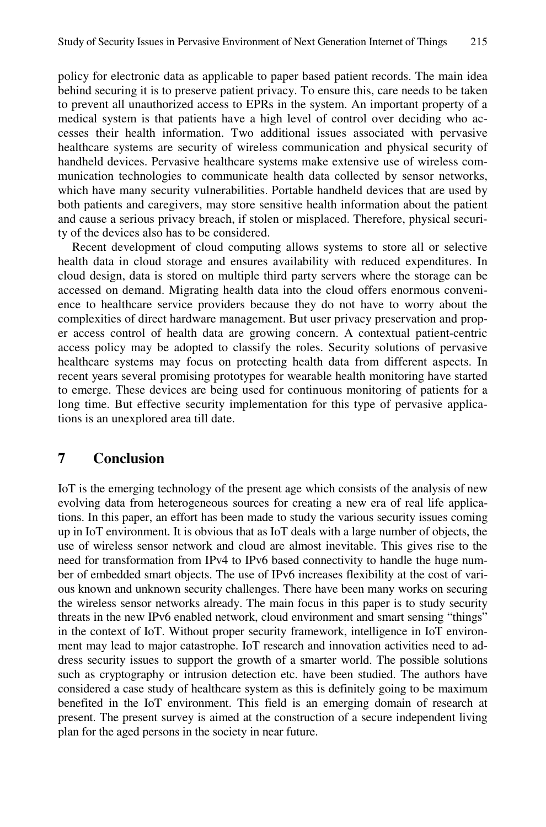policy for electronic data as applicable to paper based patient records. The main idea behind securing it is to preserve patient privacy. To ensure this, care needs to be taken to prevent all unauthorized access to EPRs in the system. An important property of a medical system is that patients have a high level of control over deciding who accesses their health information. Two additional issues associated with pervasive healthcare systems are security of wireless communication and physical security of handheld devices. Pervasive healthcare systems make extensive use of wireless communication technologies to communicate health data collected by sensor networks, which have many security vulnerabilities. Portable handheld devices that are used by both patients and caregivers, may store sensitive health information about the patient and cause a serious privacy breach, if stolen or misplaced. Therefore, physical security of the devices also has to be considered.

Recent development of cloud computing allows systems to store all or selective health data in cloud storage and ensures availability with reduced expenditures. In cloud design, data is stored on multiple third party servers where the storage can be accessed on demand. Migrating health data into the cloud offers enormous convenience to healthcare service providers because they do not have to worry about the complexities of direct hardware management. But user privacy preservation and proper access control of health data are growing concern. A contextual patient-centric access policy may be adopted to classify the roles. Security solutions of pervasive healthcare systems may focus on protecting health data from different aspects. In recent years several promising prototypes for wearable health monitoring have started to emerge. These devices are being used for continuous monitoring of patients for a long time. But effective security implementation for this type of pervasive applications is an unexplored area till date.

### **7 Conclusion**

IoT is the emerging technology of the present age which consists of the analysis of new evolving data from heterogeneous sources for creating a new era of real life applications. In this paper, an effort has been made to study the various security issues coming up in IoT environment. It is obvious that as IoT deals with a large number of objects, the use of wireless sensor network and cloud are almost inevitable. This gives rise to the need for transformation from IPv4 to IPv6 based connectivity to handle the huge number of embedded smart objects. The use of IPv6 increases flexibility at the cost of various known and unknown security challenges. There have been many works on securing the wireless sensor networks already. The main focus in this paper is to study security threats in the new IPv6 enabled network, cloud environment and smart sensing "things" in the context of IoT. Without proper security framework, intelligence in IoT environment may lead to major catastrophe. IoT research and innovation activities need to address security issues to support the growth of a smarter world. The possible solutions such as cryptography or intrusion detection etc. have been studied. The authors have considered a case study of healthcare system as this is definitely going to be maximum benefited in the IoT environment. This field is an emerging domain of research at present. The present survey is aimed at the construction of a secure independent living plan for the aged persons in the society in near future.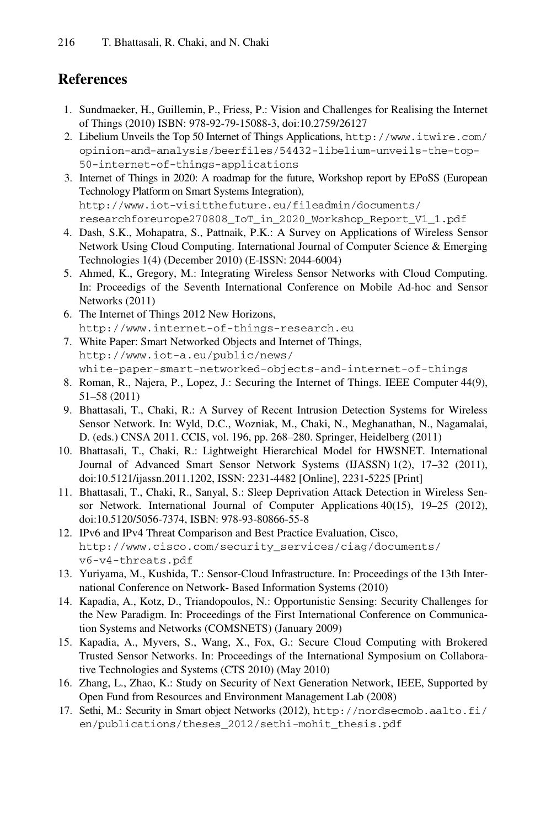## **References**

- 1. Sundmaeker, H., Guillemin, P., Friess, P.: Vision and Challenges for Realising the Internet of Things (2010) ISBN: 978-92-79-15088-3, doi:10.2759/26127
- 2. Libelium Unveils the Top 50 Internet of Things Applications, http://www.itwire.com/ opinion-and-analysis/beerfiles/54432-libelium-unveils-the-top-50-internet-of-things-applications
- 3. Internet of Things in 2020: A roadmap for the future, Workshop report by EPoSS (European Technology Platform on Smart Systems Integration), http://www.iot-visitthefuture.eu/fileadmin/documents/ researchforeurope270808\_IoT\_in\_2020\_Workshop\_Report\_V1\_1.pdf
- 4. Dash, S.K., Mohapatra, S., Pattnaik, P.K.: A Survey on Applications of Wireless Sensor Network Using Cloud Computing. International Journal of Computer Science & Emerging Technologies 1(4) (December 2010) (E-ISSN: 2044-6004)
- 5. Ahmed, K., Gregory, M.: Integrating Wireless Sensor Networks with Cloud Computing. In: Proceedigs of the Seventh International Conference on Mobile Ad-hoc and Sensor Networks (2011)
- 6. The Internet of Things 2012 New Horizons, http://www.internet-of-things-research.eu
- 7. White Paper: Smart Networked Objects and Internet of Things, http://www.iot-a.eu/public/news/ white-paper-smart-networked-objects-and-internet-of-things
- 8. Roman, R., Najera, P., Lopez, J.: Securing the Internet of Things. IEEE Computer 44(9), 51–58 (2011)
- 9. Bhattasali, T., Chaki, R.: A Survey of Recent Intrusion Detection Systems for Wireless Sensor Network. In: Wyld, D.C., Wozniak, M., Chaki, N., Meghanathan, N., Nagamalai, D. (eds.) CNSA 2011. CCIS, vol. 196, pp. 268–280. Springer, Heidelberg (2011)
- 10. Bhattasali, T., Chaki, R.: Lightweight Hierarchical Model for HWSNET. International Journal of Advanced Smart Sensor Network Systems (IJASSN) 1(2), 17–32 (2011), doi:10.5121/ijassn.2011.1202, ISSN: 2231-4482 [Online], 2231-5225 [Print]
- 11. Bhattasali, T., Chaki, R., Sanyal, S.: Sleep Deprivation Attack Detection in Wireless Sensor Network. International Journal of Computer Applications 40(15), 19–25 (2012), doi:10.5120/5056-7374, ISBN: 978-93-80866-55-8
- 12. IPv6 and IPv4 Threat Comparison and Best Practice Evaluation, Cisco, http://www.cisco.com/security\_services/ciag/documents/ v6-v4-threats.pdf
- 13. Yuriyama, M., Kushida, T.: Sensor-Cloud Infrastructure. In: Proceedings of the 13th International Conference on Network- Based Information Systems (2010)
- 14. Kapadia, A., Kotz, D., Triandopoulos, N.: Opportunistic Sensing: Security Challenges for the New Paradigm. In: Proceedings of the First International Conference on Communication Systems and Networks (COMSNETS) (January 2009)
- 15. Kapadia, A., Myvers, S., Wang, X., Fox, G.: Secure Cloud Computing with Brokered Trusted Sensor Networks. In: Proceedings of the International Symposium on Collaborative Technologies and Systems (CTS 2010) (May 2010)
- 16. Zhang, L., Zhao, K.: Study on Security of Next Generation Network, IEEE, Supported by Open Fund from Resources and Environment Management Lab (2008)
- 17. Sethi, M.: Security in Smart object Networks (2012), http://nordsecmob.aalto.fi/ en/publications/theses\_2012/sethi-mohit\_thesis.pdf